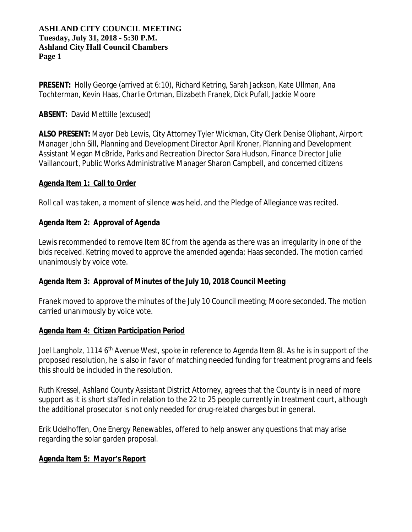**PRESENT:** Holly George (arrived at 6:10), Richard Ketring, Sarah Jackson, Kate Ullman, Ana Tochterman, Kevin Haas, Charlie Ortman, Elizabeth Franek, Dick Pufall, Jackie Moore

## **ABSENT:** David Mettille (excused)

**ALSO PRESENT:** Mayor Deb Lewis, City Attorney Tyler Wickman, City Clerk Denise Oliphant, Airport Manager John Sill, Planning and Development Director April Kroner, Planning and Development Assistant Megan McBride, Parks and Recreation Director Sara Hudson, Finance Director Julie Vaillancourt, Public Works Administrative Manager Sharon Campbell, and concerned citizens

### **Agenda Item 1: Call to Order**

Roll call was taken, a moment of silence was held, and the Pledge of Allegiance was recited.

## **Agenda Item 2: Approval of Agenda**

Lewis recommended to remove Item 8C from the agenda as there was an irregularity in one of the bids received. Ketring moved to approve the amended agenda; Haas seconded. The motion carried unanimously by voice vote.

### **Agenda Item 3: Approval of Minutes of the July 10, 2018 Council Meeting**

Franek moved to approve the minutes of the July 10 Council meeting; Moore seconded. The motion carried unanimously by voice vote.

### **Agenda Item 4: Citizen Participation Period**

*Joel Langholz, 1114 6th Avenue West,* spoke in reference to Agenda Item 8I. As he is in support of the proposed resolution, he is also in favor of matching needed funding for treatment programs and feels this should be included in the resolution.

*Ruth Kressel, Ashland County Assistant District Attorney,* agrees that the County is in need of more support as it is short staffed in relation to the 22 to 25 people currently in treatment court, although the additional prosecutor is not only needed for drug-related charges but in general.

*Erik Udelhoffen, One Energy Renewables,* offered to help answer any questions that may arise regarding the solar garden proposal.

# **Agenda Item 5: Mayor's Report**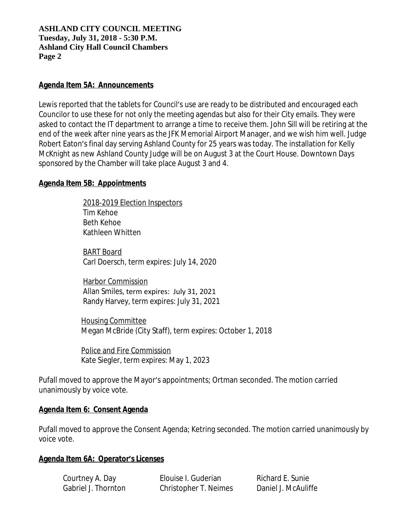### **Agenda Item 5A: Announcements**

Lewis reported that the tablets for Council's use are ready to be distributed and encouraged each Councilor to use these for not only the meeting agendas but also for their City emails. They were asked to contact the IT department to arrange a time to receive them. John Sill will be retiring at the end of the week after nine years as the JFK Memorial Airport Manager, and we wish him well. Judge Robert Eaton's final day serving Ashland County for 25 years was today. The installation for Kelly McKnight as new Ashland County Judge will be on August 3 at the Court House. Downtown Days sponsored by the Chamber will take place August 3 and 4.

### **Agenda Item 5B: Appointments**

 2018-2019 Election Inspectors Tim Kehoe Beth Kehoe Kathleen Whitten

 BART Board Carl Doersch, term expires: July 14, 2020

 Harbor Commission Allan Smiles, term expires: July 31, 2021 Randy Harvey, term expires: July 31, 2021

 Housing Committee Megan McBride (City Staff), term expires: October 1, 2018

 Police and Fire Commission Kate Siegler, term expires: May 1, 2023

Pufall moved to approve the Mayor's appointments; Ortman seconded. The motion carried unanimously by voice vote.

### **Agenda Item 6: Consent Agenda**

Pufall moved to approve the Consent Agenda; Ketring seconded. The motion carried unanimously by voice vote.

### **Agenda Item 6A: Operator's Licenses**

Courtney A. Day **Elouise I. Guderian** Richard E. Sunie Gabriel J. Thornton Christopher T. Neimes Daniel J. McAuliffe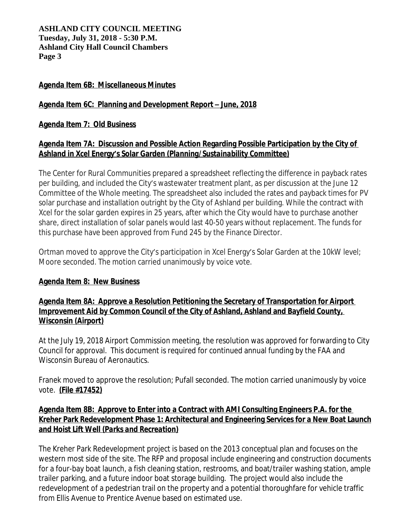## **Agenda Item 6B: Miscellaneous Minutes**

### **Agenda Item 6C: Planning and Development Report – June, 2018**

### **Agenda Item 7: Old Business**

## **Agenda Item 7A: Discussion and Possible Action Regarding Possible Participation by the City of Ashland in Xcel Energy's Solar Garden** *(Planning/Sustainability Committee)*

The Center for Rural Communities prepared a spreadsheet reflecting the difference in payback rates per building, and included the City's wastewater treatment plant, as per discussion at the June 12 Committee of the Whole meeting. The spreadsheet also included the rates and payback times for PV solar purchase and installation outright by the City of Ashland per building. While the contract with Xcel for the solar garden expires in 25 years, after which the City would have to purchase another share, direct installation of solar panels would last 40-50 years without replacement. The funds for this purchase have been approved from Fund 245 by the Finance Director.

Ortman moved to approve the City's participation in Xcel Energy's Solar Garden at the 10kW level; Moore seconded. The motion carried unanimously by voice vote.

### **Agenda Item 8: New Business**

## **Agenda Item 8A: Approve a Resolution Petitioning the Secretary of Transportation for Airport Improvement Aid by Common Council of the City of Ashland, Ashland and Bayfield County, Wisconsin** *(Airport)*

At the July 19, 2018 Airport Commission meeting, the resolution was approved for forwarding to City Council for approval. This document is required for continued annual funding by the FAA and Wisconsin Bureau of Aeronautics.

Franek moved to approve the resolution; Pufall seconded. The motion carried unanimously by voice vote. **(File #17452)**

# **Agenda Item 8B: Approve to Enter into a Contract with AMI Consulting Engineers P.A. for the Kreher Park Redevelopment Phase 1: Architectural and Engineering Services for a New Boat Launch and Hoist Lift Well (***Parks and Recreation***)**

The Kreher Park Redevelopment project is based on the 2013 conceptual plan and focuses on the western most side of the site. The RFP and proposal include engineering and construction documents for a four-bay boat launch, a fish cleaning station, restrooms, and boat/trailer washing station, ample trailer parking, and a future indoor boat storage building. The project would also include the redevelopment of a pedestrian trail on the property and a potential thoroughfare for vehicle traffic from Ellis Avenue to Prentice Avenue based on estimated use.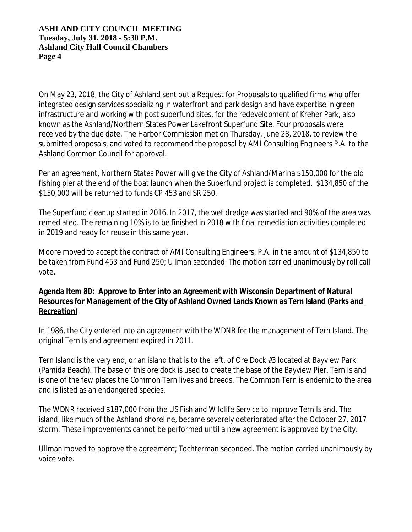On May 23, 2018, the City of Ashland sent out a Request for Proposals to qualified firms who offer integrated design services specializing in waterfront and park design and have expertise in green infrastructure and working with post superfund sites, for the redevelopment of Kreher Park, also known as the Ashland/Northern States Power Lakefront Superfund Site. Four proposals were received by the due date. The Harbor Commission met on Thursday, June 28, 2018, to review the submitted proposals, and voted to recommend the proposal by AMI Consulting Engineers P.A. to the Ashland Common Council for approval.

Per an agreement, Northern States Power will give the City of Ashland/Marina \$150,000 for the old fishing pier at the end of the boat launch when the Superfund project is completed. \$134,850 of the \$150,000 will be returned to funds CP 453 and SR 250.

The Superfund cleanup started in 2016. In 2017, the wet dredge was started and 90% of the area was remediated. The remaining 10% is to be finished in 2018 with final remediation activities completed in 2019 and ready for reuse in this same year.

Moore moved to accept the contract of AMI Consulting Engineers, P.A. in the amount of \$134,850 to be taken from Fund 453 and Fund 250; Ullman seconded. The motion carried unanimously by roll call vote.

# **Agenda Item 8D: Approve to Enter into an Agreement with Wisconsin Department of Natural Resources for Management of the City of Ashland Owned Lands Known as Tern Island (***Parks and Recreation***)**

In 1986, the City entered into an agreement with the WDNR for the management of Tern Island. The original Tern Island agreement expired in 2011.

Tern Island is the very end, or an island that is to the left, of Ore Dock #3 located at Bayview Park (Pamida Beach). The base of this ore dock is used to create the base of the Bayview Pier. Tern Island is one of the few places the Common Tern lives and breeds. The Common Tern is endemic to the area and is listed as an endangered species.

The WDNR received \$187,000 from the US Fish and Wildlife Service to improve Tern Island. The island, like much of the Ashland shoreline, became severely deteriorated after the October 27, 2017 storm. These improvements cannot be performed until a new agreement is approved by the City.

Ullman moved to approve the agreement; Tochterman seconded. The motion carried unanimously by voice vote.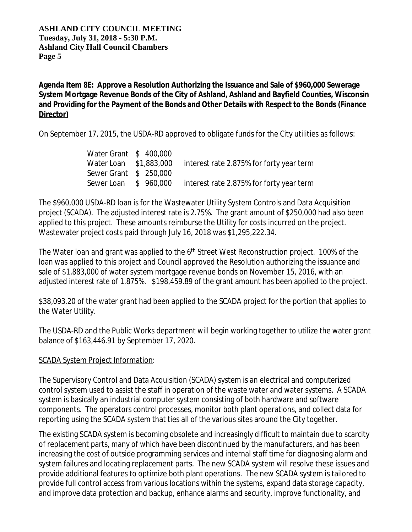# **Agenda Item 8E: Approve a Resolution Authorizing the Issuance and Sale of \$960,000 Sewerage System Mortgage Revenue Bonds of the City of Ashland, Ashland and Bayfield Counties, Wisconsin and Providing for the Payment of the Bonds and Other Details with Respect to the Bonds** *(Finance Director)*

On September 17, 2015, the USDA-RD approved to obligate funds for the City utilities as follows:

| Water Grant \$400,000  |                                          |
|------------------------|------------------------------------------|
| Water Loan \$1,883,000 | interest rate 2.875% for forty year term |
| Sewer Grant \$ 250,000 |                                          |
| Sewer Loan \$ 960,000  | interest rate 2.875% for forty year term |

The \$960,000 USDA-RD loan is for the Wastewater Utility System Controls and Data Acquisition project (SCADA). The adjusted interest rate is 2.75%. The grant amount of \$250,000 had also been applied to this project. These amounts reimburse the Utility for costs incurred on the project. Wastewater project costs paid through July 16, 2018 was \$1,295,222.34.

The Water loan and grant was applied to the 6<sup>th</sup> Street West Reconstruction project. 100% of the loan was applied to this project and Council approved the Resolution authorizing the issuance and sale of \$1,883,000 of water system mortgage revenue bonds on November 15, 2016, with an adjusted interest rate of 1.875%. \$198,459.89 of the grant amount has been applied to the project.

\$38,093.20 of the water grant had been applied to the SCADA project for the portion that applies to the Water Utility.

The USDA-RD and the Public Works department will begin working together to utilize the water grant balance of \$163,446.91 by September 17, 2020.

# SCADA System Project Information:

The Supervisory Control and Data Acquisition (SCADA) system is an electrical and computerized control system used to assist the staff in operation of the waste water and water systems. A SCADA system is basically an industrial computer system consisting of both hardware and software components. The operators control processes, monitor both plant operations, and collect data for reporting using the SCADA system that ties all of the various sites around the City together.

The existing SCADA system is becoming obsolete and increasingly difficult to maintain due to scarcity of replacement parts, many of which have been discontinued by the manufacturers, and has been increasing the cost of outside programming services and internal staff time for diagnosing alarm and system failures and locating replacement parts. The new SCADA system will resolve these issues and provide additional features to optimize both plant operations. The new SCADA system is tailored to provide full control access from various locations within the systems, expand data storage capacity, and improve data protection and backup, enhance alarms and security, improve functionality, and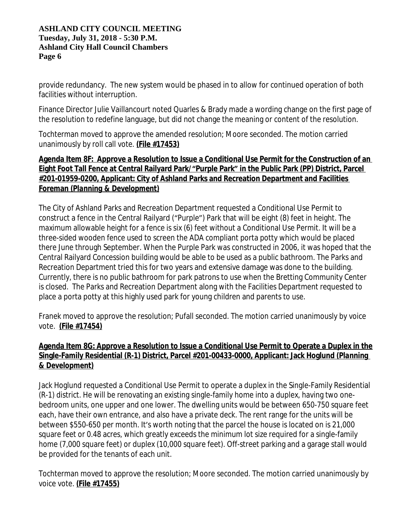provide redundancy. The new system would be phased in to allow for continued operation of both facilities without interruption.

Finance Director Julie Vaillancourt noted Quarles & Brady made a wording change on the first page of the resolution to redefine language, but did not change the meaning or content of the resolution.

Tochterman moved to approve the amended resolution; Moore seconded. The motion carried unanimously by roll call vote. **(File #17453)**

# **Agenda Item 8F: Approve a Resolution to Issue a Conditional Use Permit for the Construction of an Eight Foot Tall Fence at Central Railyard Park/"Purple Park" in the Public Park (PP) District, Parcel #201-01959-0200, Applicant: City of Ashland Parks and Recreation Department and Facilities Foreman** *(Planning & Development)*

The City of Ashland Parks and Recreation Department requested a Conditional Use Permit to construct a fence in the Central Railyard ("Purple") Park that will be eight (8) feet in height. The maximum allowable height for a fence is six (6) feet without a Conditional Use Permit. It will be a three-sided wooden fence used to screen the ADA compliant porta potty which would be placed there June through September. When the Purple Park was constructed in 2006, it was hoped that the Central Railyard Concession building would be able to be used as a public bathroom. The Parks and Recreation Department tried this for two years and extensive damage was done to the building. Currently, there is no public bathroom for park patrons to use when the Bretting Community Center is closed. The Parks and Recreation Department along with the Facilities Department requested to place a porta potty at this highly used park for young children and parents to use.

Franek moved to approve the resolution; Pufall seconded. The motion carried unanimously by voice vote. **(File #17454)**

# **Agenda Item 8G: Approve a Resolution to Issue a Conditional Use Permit to Operate a Duplex in the Single-Family Residential (R-1) District, Parcel #201-00433-0000, Applicant: Jack Hoglund** *(Planning & Development)*

Jack Hoglund requested a Conditional Use Permit to operate a duplex in the Single-Family Residential (R-1) district. He will be renovating an existing single-family home into a duplex, having two onebedroom units, one upper and one lower. The dwelling units would be between 650-750 square feet each, have their own entrance, and also have a private deck. The rent range for the units will be between \$550-650 per month. It's worth noting that the parcel the house is located on is 21,000 square feet or 0.48 acres, which greatly exceeds the minimum lot size required for a single-family home (7,000 square feet) or duplex (10,000 square feet). Off-street parking and a garage stall would be provided for the tenants of each unit.

Tochterman moved to approve the resolution; Moore seconded. The motion carried unanimously by voice vote. **(File #17455)**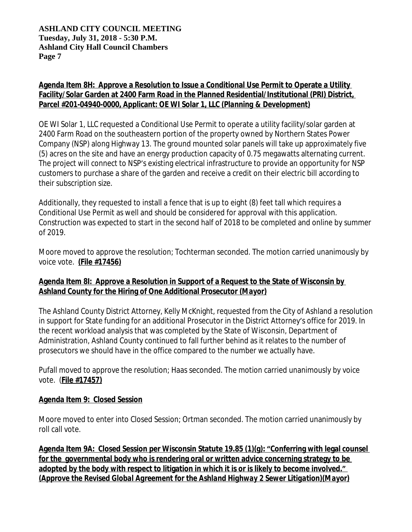# **Agenda Item 8H: Approve a Resolution to Issue a Conditional Use Permit to Operate a Utility Facility/Solar Garden at 2400 Farm Road in the Planned Residential/Institutional (PRI) District, Parcel #201-04940-0000, Applicant: OE WI Solar 1, LLC** *(Planning & Development)*

OE WI Solar 1, LLC requested a Conditional Use Permit to operate a utility facility/solar garden at 2400 Farm Road on the southeastern portion of the property owned by Northern States Power Company (NSP) along Highway 13. The ground mounted solar panels will take up approximately five (5) acres on the site and have an energy production capacity of 0.75 megawatts alternating current. The project will connect to NSP's existing electrical infrastructure to provide an opportunity for NSP customers to purchase a share of the garden and receive a credit on their electric bill according to their subscription size.

Additionally, they requested to install a fence that is up to eight (8) feet tall which requires a Conditional Use Permit as well and should be considered for approval with this application. Construction was expected to start in the second half of 2018 to be completed and online by summer of 2019.

Moore moved to approve the resolution; Tochterman seconded. The motion carried unanimously by voice vote. **(File #17456)**

# **Agenda Item 8I: Approve a Resolution in Support of a Request to the State of Wisconsin by Ashland County for the Hiring of One Additional Prosecutor (***Mayor)*

The Ashland County District Attorney, Kelly McKnight, requested from the City of Ashland a resolution in support for State funding for an additional Prosecutor in the District Attorney's office for 2019. In the recent workload analysis that was completed by the State of Wisconsin, Department of Administration, Ashland County continued to fall further behind as it relates to the number of prosecutors we should have in the office compared to the number we actually have.

Pufall moved to approve the resolution; Haas seconded. The motion carried unanimously by voice vote. (**File #17457)**

# **Agenda Item 9: Closed Session**

Moore moved to enter into Closed Session; Ortman seconded. The motion carried unanimously by roll call vote.

**Agenda Item 9A: Closed Session per Wisconsin Statute 19.85 (1)(g): "Conferring with legal counsel for the governmental body who is rendering oral or written advice concerning strategy to be adopted by the body with respect to litigation in which it is or is likely to become involved."** *(Approve the Revised Global Agreement for the Ashland Highway 2 Sewer Litigation)(Mayor)*